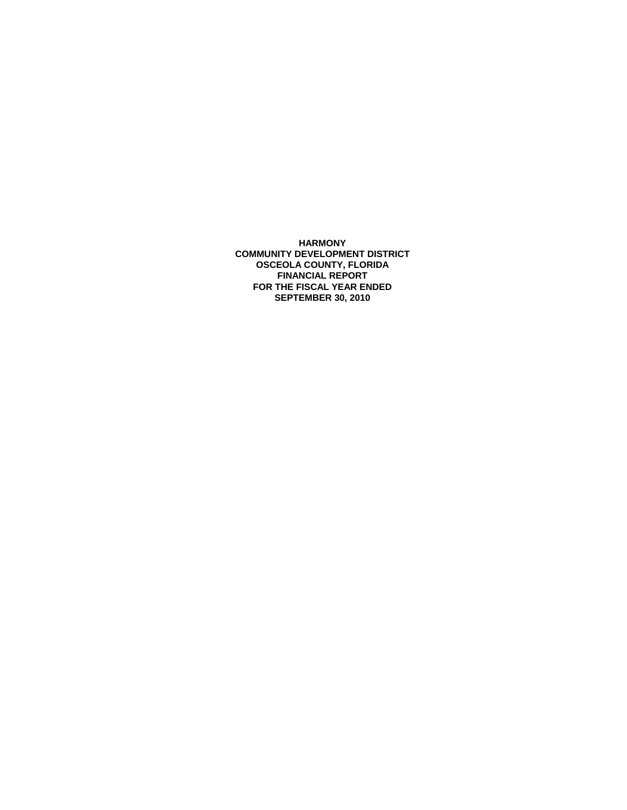**HARMONY COMMUNITY DEVELOPMENT DISTRICT OSCEOLA COUNTY, FLORIDA FINANCIAL REPORT FOR THE FISCAL YEAR ENDED SEPTEMBER 30, 2010**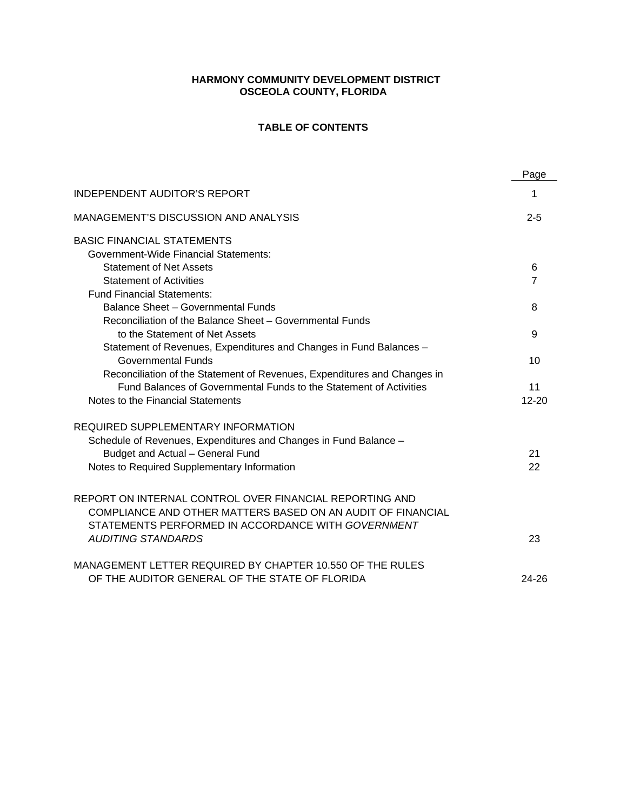## **HARMONY COMMUNITY DEVELOPMENT DISTRICT OSCEOLA COUNTY, FLORIDA**

# **TABLE OF CONTENTS**

|                                                                          | Page           |
|--------------------------------------------------------------------------|----------------|
| <b>INDEPENDENT AUDITOR'S REPORT</b>                                      | 1              |
| <b>MANAGEMENT'S DISCUSSION AND ANALYSIS</b>                              | $2 - 5$        |
| <b>BASIC FINANCIAL STATEMENTS</b>                                        |                |
| Government-Wide Financial Statements:                                    |                |
| <b>Statement of Net Assets</b>                                           | 6              |
| <b>Statement of Activities</b>                                           | $\overline{7}$ |
| <b>Fund Financial Statements:</b>                                        |                |
| Balance Sheet - Governmental Funds                                       | 8              |
| Reconciliation of the Balance Sheet - Governmental Funds                 |                |
| to the Statement of Net Assets                                           | 9              |
| Statement of Revenues, Expenditures and Changes in Fund Balances -       |                |
| <b>Governmental Funds</b>                                                | 10             |
| Reconciliation of the Statement of Revenues, Expenditures and Changes in |                |
| Fund Balances of Governmental Funds to the Statement of Activities       | 11             |
| Notes to the Financial Statements                                        | $12 - 20$      |
| REQUIRED SUPPLEMENTARY INFORMATION                                       |                |
| Schedule of Revenues, Expenditures and Changes in Fund Balance -         |                |
| Budget and Actual - General Fund                                         | 21             |
| Notes to Required Supplementary Information                              | 22             |
| REPORT ON INTERNAL CONTROL OVER FINANCIAL REPORTING AND                  |                |
| COMPLIANCE AND OTHER MATTERS BASED ON AN AUDIT OF FINANCIAL              |                |
| STATEMENTS PERFORMED IN ACCORDANCE WITH GOVERNMENT                       |                |
| <b>AUDITING STANDARDS</b>                                                | 23             |
|                                                                          |                |
| MANAGEMENT LETTER REQUIRED BY CHAPTER 10.550 OF THE RULES                |                |
| OF THE AUDITOR GENERAL OF THE STATE OF FLORIDA                           | $24 - 26$      |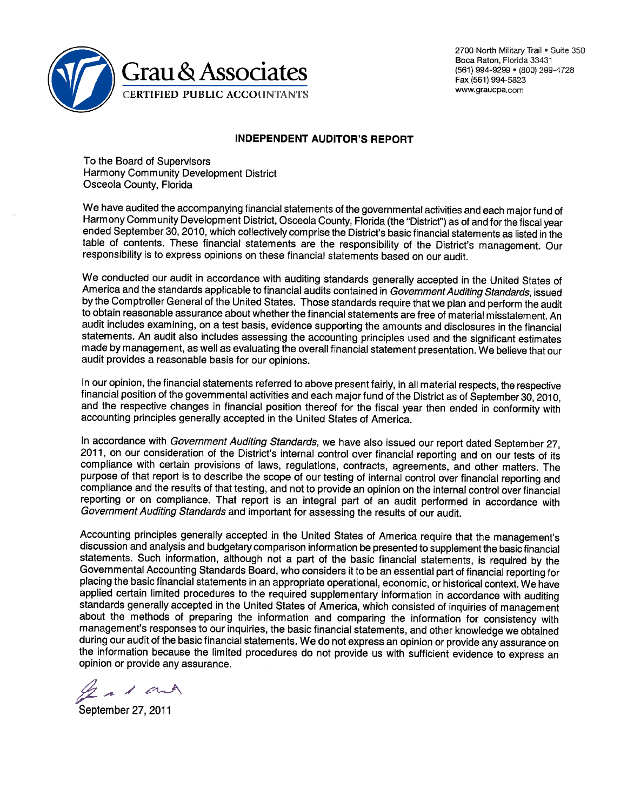

2700 North Military Trail . Suite 350 Boca Raton. Florida 33431 (561) 994-9299 • (800) 299-4728 Fax (561) 994-5823 www.graucpa.com

### **INDEPENDENT AUDITOR'S REPORT**

To the Board of Supervisors Harmony Community Development District Osceola County, Florida

We have audited the accompanying financial statements of the governmental activities and each major fund of Harmony Community Development District, Osceola County, Florida (the "District") as of and for the fiscal year ended September 30, 2010, which collectively comprise the District's basic financial statements as listed in the table of contents. These financial statements are the responsibility of the District's management. Our responsibility is to express opinions on these financial statements based on our audit.

We conducted our audit in accordance with auditing standards generally accepted in the United States of America and the standards applicable to financial audits contained in Government Auditing Standards, issued by the Comptroller General of the United States. Those standards require that we plan and perform the audit to obtain reasonable assurance about whether the financial statements are free of material misstatement. An audit includes examining, on a test basis, evidence supporting the amounts and disclosures in the financial statements. An audit also includes assessing the accounting principles used and the significant estimates made by management, as well as evaluating the overall financial statement presentation. We believe that our audit provides a reasonable basis for our opinions.

In our opinion, the financial statements referred to above present fairly, in all material respects, the respective financial position of the governmental activities and each major fund of the District as of September 30, 2010, and the respective changes in financial position thereof for the fiscal year then ended in conformity with accounting principles generally accepted in the United States of America.

In accordance with Government Auditing Standards, we have also issued our report dated September 27, 2011, on our consideration of the District's internal control over financial reporting and on our tests of its compliance with certain provisions of laws, regulations, contracts, agreements, and other matters. The purpose of that report is to describe the scope of our testing of internal control over financial reporting and compliance and the results of that testing, and not to provide an opinion on the internal control over financial reporting or on compliance. That report is an integral part of an audit performed in accordance with Government Auditing Standards and important for assessing the results of our audit.

Accounting principles generally accepted in the United States of America require that the management's discussion and analysis and budgetary comparison information be presented to supplement the basic financial statements. Such information, although not a part of the basic financial statements, is required by the Governmental Accounting Standards Board, who considers it to be an essential part of financial reporting for placing the basic financial statements in an appropriate operational, economic, or historical context. We have applied certain limited procedures to the required supplementary information in accordance with auditing standards generally accepted in the United States of America, which consisted of inquiries of management about the methods of preparing the information and comparing the information for consistency with management's responses to our inquiries, the basic financial statements, and other knowledge we obtained during our audit of the basic financial statements. We do not express an opinion or provide any assurance on the information because the limited procedures do not provide us with sufficient evidence to express an opinion or provide any assurance.

September 27, 2011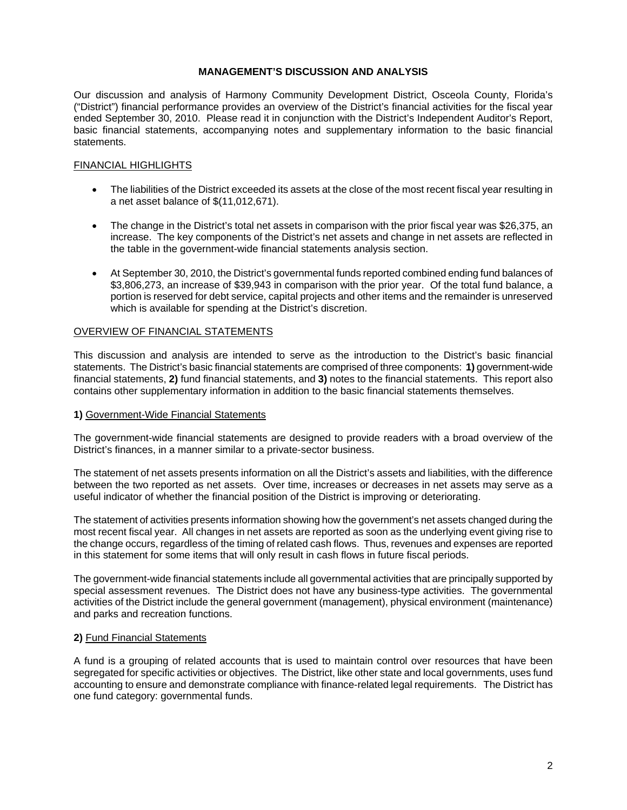### **MANAGEMENT'S DISCUSSION AND ANALYSIS**

Our discussion and analysis of Harmony Community Development District, Osceola County, Florida's ("District") financial performance provides an overview of the District's financial activities for the fiscal year ended September 30, 2010. Please read it in conjunction with the District's Independent Auditor's Report, basic financial statements, accompanying notes and supplementary information to the basic financial statements.

### FINANCIAL HIGHLIGHTS

- The liabilities of the District exceeded its assets at the close of the most recent fiscal year resulting in a net asset balance of \$(11,012,671).
- The change in the District's total net assets in comparison with the prior fiscal year was \$26,375, an increase. The key components of the District's net assets and change in net assets are reflected in the table in the government-wide financial statements analysis section.
- At September 30, 2010, the District's governmental funds reported combined ending fund balances of \$3,806,273, an increase of \$39,943 in comparison with the prior year. Of the total fund balance, a portion is reserved for debt service, capital projects and other items and the remainder is unreserved which is available for spending at the District's discretion.

### OVERVIEW OF FINANCIAL STATEMENTS

This discussion and analysis are intended to serve as the introduction to the District's basic financial statements. The District's basic financial statements are comprised of three components: **1)** government-wide financial statements, **2)** fund financial statements, and **3)** notes to the financial statements. This report also contains other supplementary information in addition to the basic financial statements themselves.

#### **1)** Government-Wide Financial Statements

The government-wide financial statements are designed to provide readers with a broad overview of the District's finances, in a manner similar to a private-sector business.

The statement of net assets presents information on all the District's assets and liabilities, with the difference between the two reported as net assets. Over time, increases or decreases in net assets may serve as a useful indicator of whether the financial position of the District is improving or deteriorating.

The statement of activities presents information showing how the government's net assets changed during the most recent fiscal year. All changes in net assets are reported as soon as the underlying event giving rise to the change occurs, regardless of the timing of related cash flows. Thus, revenues and expenses are reported in this statement for some items that will only result in cash flows in future fiscal periods.

The government-wide financial statements include all governmental activities that are principally supported by special assessment revenues. The District does not have any business-type activities. The governmental activities of the District include the general government (management), physical environment (maintenance) and parks and recreation functions.

#### **2)** Fund Financial Statements

A fund is a grouping of related accounts that is used to maintain control over resources that have been segregated for specific activities or objectives. The District, like other state and local governments, uses fund accounting to ensure and demonstrate compliance with finance-related legal requirements. The District has one fund category: governmental funds.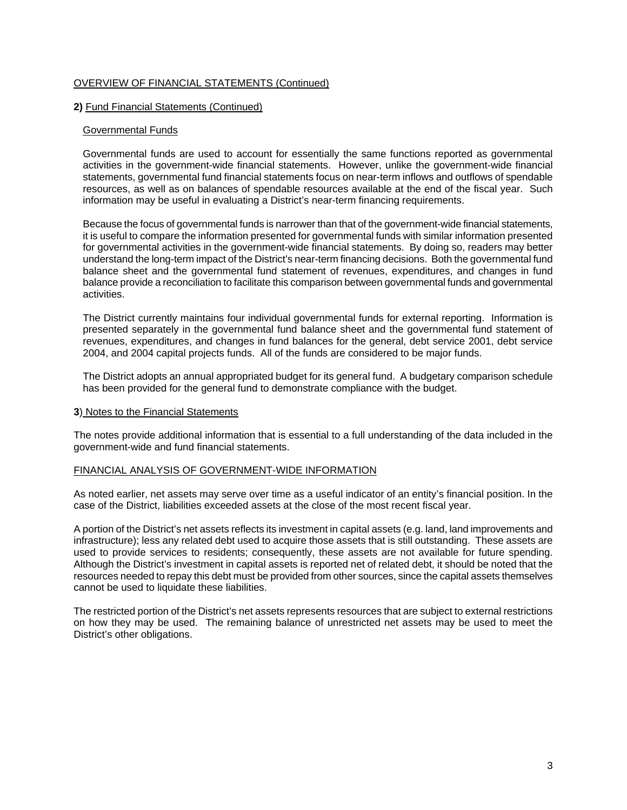### OVERVIEW OF FINANCIAL STATEMENTS (Continued)

#### **2)** Fund Financial Statements (Continued)

#### Governmental Funds

Governmental funds are used to account for essentially the same functions reported as governmental activities in the government-wide financial statements. However, unlike the government-wide financial statements, governmental fund financial statements focus on near-term inflows and outflows of spendable resources, as well as on balances of spendable resources available at the end of the fiscal year. Such information may be useful in evaluating a District's near-term financing requirements.

Because the focus of governmental funds is narrower than that of the government-wide financial statements, it is useful to compare the information presented for governmental funds with similar information presented for governmental activities in the government-wide financial statements. By doing so, readers may better understand the long-term impact of the District's near-term financing decisions. Both the governmental fund balance sheet and the governmental fund statement of revenues, expenditures, and changes in fund balance provide a reconciliation to facilitate this comparison between governmental funds and governmental activities.

The District currently maintains four individual governmental funds for external reporting. Information is presented separately in the governmental fund balance sheet and the governmental fund statement of revenues, expenditures, and changes in fund balances for the general, debt service 2001, debt service 2004, and 2004 capital projects funds. All of the funds are considered to be major funds.

The District adopts an annual appropriated budget for its general fund. A budgetary comparison schedule has been provided for the general fund to demonstrate compliance with the budget.

#### **3**) Notes to the Financial Statements

The notes provide additional information that is essential to a full understanding of the data included in the government-wide and fund financial statements.

#### FINANCIAL ANALYSIS OF GOVERNMENT-WIDE INFORMATION

As noted earlier, net assets may serve over time as a useful indicator of an entity's financial position. In the case of the District, liabilities exceeded assets at the close of the most recent fiscal year.

A portion of the District's net assets reflects its investment in capital assets (e.g. land, land improvements and infrastructure); less any related debt used to acquire those assets that is still outstanding. These assets are used to provide services to residents; consequently, these assets are not available for future spending. Although the District's investment in capital assets is reported net of related debt, it should be noted that the resources needed to repay this debt must be provided from other sources, since the capital assets themselves cannot be used to liquidate these liabilities.

The restricted portion of the District's net assets represents resources that are subject to external restrictions on how they may be used. The remaining balance of unrestricted net assets may be used to meet the District's other obligations.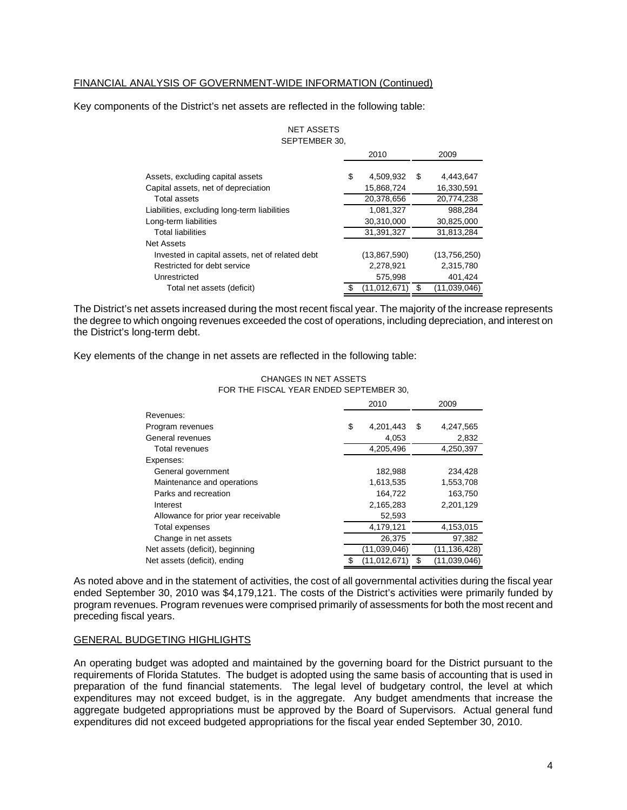#### FINANCIAL ANALYSIS OF GOVERNMENT-WIDE INFORMATION (Continued)

Key components of the District's net assets are reflected in the following table:

#### SEPTEMBER 30, NET ASSETS

|                                                 | 2010 |                |   | 2009         |
|-------------------------------------------------|------|----------------|---|--------------|
|                                                 |      |                |   |              |
| Assets, excluding capital assets                | \$   | 4,509,932      | S | 4.443.647    |
| Capital assets, net of depreciation             |      | 15,868,724     |   | 16,330,591   |
| Total assets                                    |      | 20,378,656     |   | 20,774,238   |
| Liabilities, excluding long-term liabilities    |      | 1,081,327      |   | 988.284      |
| Long-term liabilities                           |      | 30.310.000     |   | 30,825,000   |
| <b>Total liabilities</b>                        |      | 31,391,327     |   | 31,813,284   |
| <b>Net Assets</b>                               |      |                |   |              |
| Invested in capital assets, net of related debt |      | (13, 867, 590) |   | (13,756,250) |
| Restricted for debt service                     |      | 2,278,921      |   | 2,315,780    |
| Unrestricted                                    |      | 575,998        |   | 401,424      |
| Total net assets (deficit)                      | S    | (11, 012, 671) |   | (11,039,046) |

The District's net assets increased during the most recent fiscal year. The majority of the increase represents the degree to which ongoing revenues exceeded the cost of operations, including depreciation, and interest on the District's long-term debt.

Key elements of the change in net assets are reflected in the following table:

|                                     | 2010               |   | 2009         |
|-------------------------------------|--------------------|---|--------------|
| Revenues:                           |                    |   |              |
| Program revenues                    | \$<br>4,201,443    | S | 4,247,565    |
| General revenues                    | 4,053              |   | 2,832        |
| Total revenues                      | 4,205,496          |   | 4,250,397    |
| Expenses:                           |                    |   |              |
| General government                  | 182,988            |   | 234.428      |
| Maintenance and operations          | 1,613,535          |   | 1,553,708    |
| Parks and recreation                | 164.722            |   | 163.750      |
| Interest                            | 2,165,283          |   | 2,201,129    |
| Allowance for prior year receivable | 52,593             |   |              |
| <b>Total expenses</b>               | 4,179,121          |   | 4,153,015    |
| Change in net assets                | 26,375             |   | 97,382       |
| Net assets (deficit), beginning     | (11,039,046)       |   | (11,136,428) |
| Net assets (deficit), ending        | \$<br>(11.012.671) |   | (11,039,046) |

#### CHANGES IN NET ASSETS FOR THE FISCAL YEAR ENDED SEPTEMBER 30,

As noted above and in the statement of activities, the cost of all governmental activities during the fiscal year ended September 30, 2010 was \$4,179,121. The costs of the District's activities were primarily funded by program revenues. Program revenues were comprised primarily of assessments for both the most recent and preceding fiscal years.

#### GENERAL BUDGETING HIGHLIGHTS

An operating budget was adopted and maintained by the governing board for the District pursuant to the requirements of Florida Statutes. The budget is adopted using the same basis of accounting that is used in preparation of the fund financial statements. The legal level of budgetary control, the level at which expenditures may not exceed budget, is in the aggregate. Any budget amendments that increase the aggregate budgeted appropriations must be approved by the Board of Supervisors. Actual general fund expenditures did not exceed budgeted appropriations for the fiscal year ended September 30, 2010.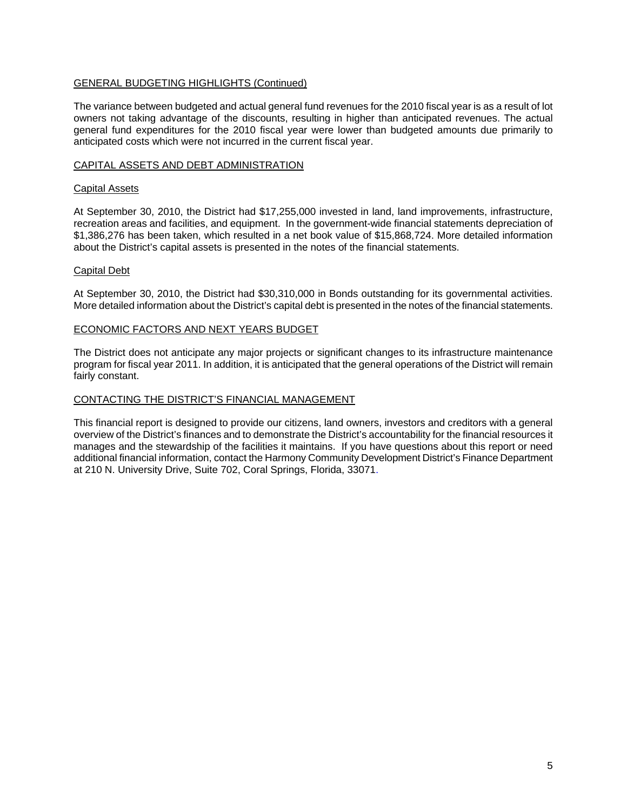#### GENERAL BUDGETING HIGHLIGHTS (Continued)

The variance between budgeted and actual general fund revenues for the 2010 fiscal year is as a result of lot owners not taking advantage of the discounts, resulting in higher than anticipated revenues. The actual general fund expenditures for the 2010 fiscal year were lower than budgeted amounts due primarily to anticipated costs which were not incurred in the current fiscal year.

### CAPITAL ASSETS AND DEBT ADMINISTRATION

#### Capital Assets

At September 30, 2010, the District had \$17,255,000 invested in land, land improvements, infrastructure, recreation areas and facilities, and equipment. In the government-wide financial statements depreciation of \$1,386,276 has been taken, which resulted in a net book value of \$15,868,724. More detailed information about the District's capital assets is presented in the notes of the financial statements.

### Capital Debt

At September 30, 2010, the District had \$30,310,000 in Bonds outstanding for its governmental activities. More detailed information about the District's capital debt is presented in the notes of the financial statements.

#### ECONOMIC FACTORS AND NEXT YEARS BUDGET

The District does not anticipate any major projects or significant changes to its infrastructure maintenance program for fiscal year 2011. In addition, it is anticipated that the general operations of the District will remain fairly constant.

#### CONTACTING THE DISTRICT'S FINANCIAL MANAGEMENT

This financial report is designed to provide our citizens, land owners, investors and creditors with a general overview of the District's finances and to demonstrate the District's accountability for the financial resources it manages and the stewardship of the facilities it maintains. If you have questions about this report or need additional financial information, contact the Harmony Community Development District's Finance Department at 210 N. University Drive, Suite 702, Coral Springs, Florida, 33071.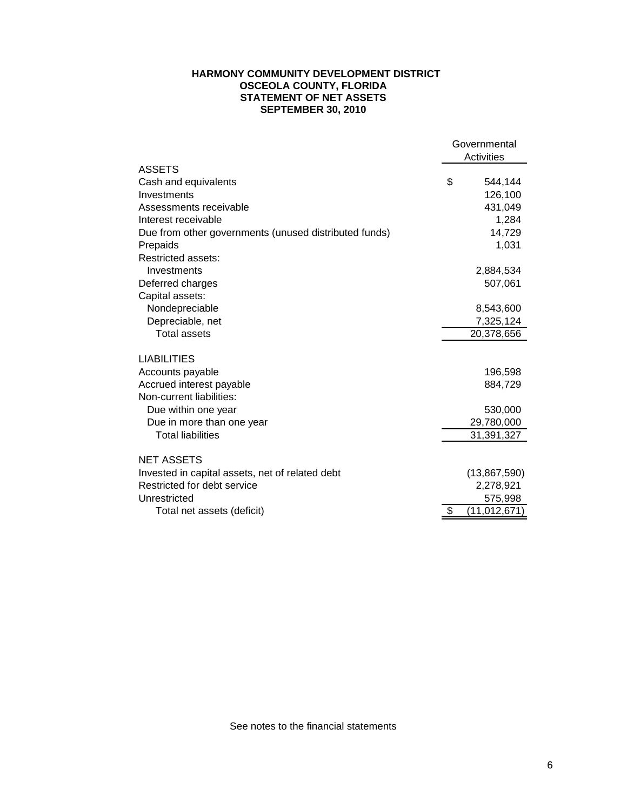#### **HARMONY COMMUNITY DEVELOPMENT DISTRICT OSCEOLA COUNTY, FLORIDA STATEMENT OF NET ASSETS SEPTEMBER 30, 2010**

|                                                       | Governmental<br><b>Activities</b> |
|-------------------------------------------------------|-----------------------------------|
| <b>ASSETS</b>                                         |                                   |
| Cash and equivalents                                  | \$<br>544,144                     |
| Investments                                           | 126,100                           |
| Assessments receivable                                | 431,049                           |
| Interest receivable                                   | 1,284                             |
| Due from other governments (unused distributed funds) | 14,729                            |
| Prepaids                                              | 1,031                             |
| Restricted assets:                                    |                                   |
| Investments                                           | 2,884,534                         |
| Deferred charges                                      | 507,061                           |
| Capital assets:                                       |                                   |
| Nondepreciable                                        | 8,543,600                         |
| Depreciable, net                                      | 7,325,124                         |
| <b>Total assets</b>                                   | 20,378,656                        |
| <b>LIABILITIES</b>                                    |                                   |
| Accounts payable                                      | 196,598                           |
| Accrued interest payable                              | 884,729                           |
| Non-current liabilities:                              |                                   |
| Due within one year                                   | 530,000                           |
| Due in more than one year                             | 29,780,000                        |
| <b>Total liabilities</b>                              | 31,391,327                        |
|                                                       |                                   |
| <b>NET ASSETS</b>                                     |                                   |
| Invested in capital assets, net of related debt       | (13,867,590)                      |
| Restricted for debt service                           | 2,278,921                         |
| Unrestricted                                          | 575,998                           |
| Total net assets (deficit)                            | \$<br>(11, 012, 671)              |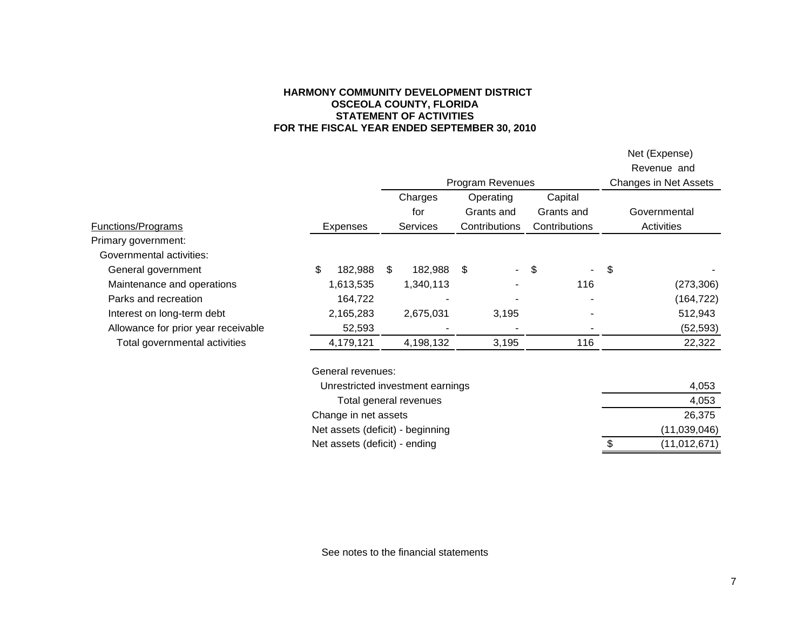#### **HARMONY COMMUNITY DEVELOPMENT DISTRICT OSCEOLA COUNTY, FLORIDA STATEMENT OF ACTIVITIES FOR THE FISCAL YEAR ENDED SEPTEMBER 30, 2010**

|                                     |                      |     |                                  |                  |               |                       | Net (Expense)     |  |
|-------------------------------------|----------------------|-----|----------------------------------|------------------|---------------|-----------------------|-------------------|--|
|                                     |                      |     |                                  |                  |               |                       | Revenue and       |  |
|                                     |                      |     |                                  | Program Revenues |               | Changes in Net Assets |                   |  |
|                                     |                      |     | Charges                          | Operating        | Capital       |                       |                   |  |
|                                     |                      |     | for                              | Grants and       | Grants and    |                       | Governmental      |  |
| <b>Functions/Programs</b>           | <b>Expenses</b>      |     | <b>Services</b>                  | Contributions    | Contributions |                       | <b>Activities</b> |  |
| Primary government:                 |                      |     |                                  |                  |               |                       |                   |  |
| Governmental activities:            |                      |     |                                  |                  |               |                       |                   |  |
| General government                  | \$<br>182,988        | \$. | 182,988                          | \$               | \$            | \$                    |                   |  |
| Maintenance and operations          | 1,613,535            |     | 1,340,113                        |                  | 116           |                       | (273, 306)        |  |
| Parks and recreation                | 164,722              |     |                                  |                  |               |                       | (164, 722)        |  |
| Interest on long-term debt          | 2,165,283            |     | 2,675,031                        | 3,195            |               |                       | 512,943           |  |
| Allowance for prior year receivable | 52,593               |     |                                  |                  |               |                       | (52, 593)         |  |
| Total governmental activities       | 4,179,121            |     | 4,198,132                        | 3,195            | 116           |                       | 22,322            |  |
|                                     | General revenues:    |     |                                  |                  |               |                       |                   |  |
|                                     |                      |     | Unrestricted investment earnings |                  |               |                       | 4,053             |  |
|                                     |                      |     | Total general revenues           |                  |               |                       | 4,053             |  |
|                                     | Change in net assets |     |                                  |                  |               |                       | 26,375            |  |
|                                     |                      |     | Net assets (deficit) - beginning |                  |               |                       | (11,039,046)      |  |

Net assets (deficit) - ending (11,012,671)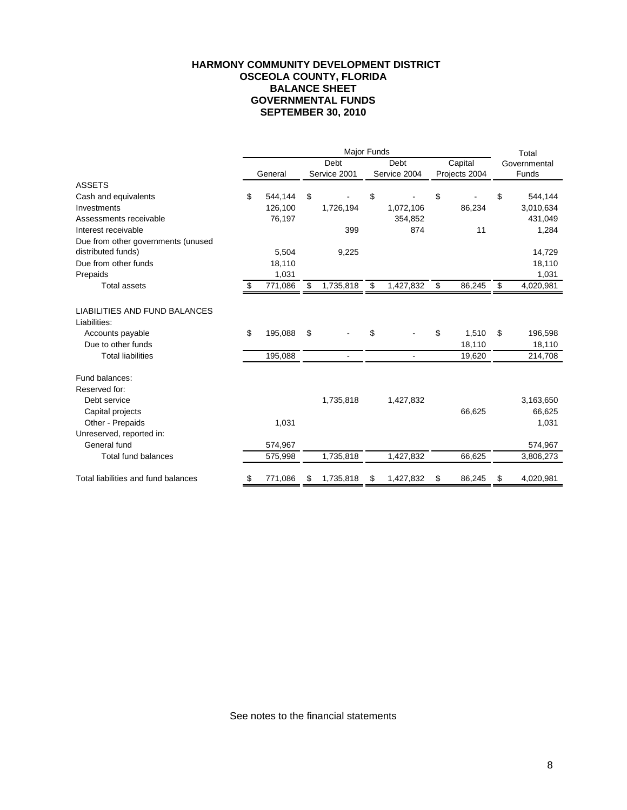### **HARMONY COMMUNITY DEVELOPMENT DISTRICT OSCEOLA COUNTY, FLORIDA BALANCE SHEET GOVERNMENTAL FUNDS SEPTEMBER 30, 2010**

|                                                                   | Major Funds |         |    |              |      |              |               | Total  |              |           |
|-------------------------------------------------------------------|-------------|---------|----|--------------|------|--------------|---------------|--------|--------------|-----------|
|                                                                   |             |         |    | Debt         | Debt |              | Capital       |        | Governmental |           |
|                                                                   |             | General |    | Service 2001 |      | Service 2004 | Projects 2004 |        | Funds        |           |
| <b>ASSETS</b>                                                     |             |         |    |              |      |              |               |        |              |           |
| Cash and equivalents                                              | \$          | 544,144 | \$ |              | \$   |              | \$            |        | \$           | 544,144   |
| Investments                                                       |             | 126.100 |    | 1,726,194    |      | 1,072,106    |               | 86,234 |              | 3,010,634 |
| Assessments receivable                                            |             | 76,197  |    |              |      | 354,852      |               |        |              | 431,049   |
| Interest receivable                                               |             |         |    | 399          |      | 874          |               | 11     |              | 1,284     |
| Due from other governments (unused                                |             |         |    |              |      |              |               |        |              |           |
| distributed funds)                                                |             | 5,504   |    | 9,225        |      |              |               |        |              | 14,729    |
| Due from other funds                                              |             | 18,110  |    |              |      |              |               |        |              | 18,110    |
| Prepaids                                                          |             | 1,031   |    |              |      |              |               |        |              | 1,031     |
| <b>Total assets</b>                                               |             | 771,086 | \$ | 1,735,818    | \$   | 1,427,832    | \$            | 86,245 | \$           | 4,020,981 |
| LIABILITIES AND FUND BALANCES<br>Liabilities:<br>Accounts payable | \$          | 195,088 | \$ |              | \$   |              | \$            | 1,510  | \$           | 196,598   |
| Due to other funds                                                |             |         |    |              |      |              |               | 18,110 |              | 18,110    |
| <b>Total liabilities</b>                                          |             | 195,088 |    |              |      |              |               | 19,620 |              | 214,708   |
| Fund balances:<br>Reserved for:                                   |             |         |    |              |      |              |               |        |              |           |
| Debt service                                                      |             |         |    | 1,735,818    |      | 1,427,832    |               |        |              | 3,163,650 |
| Capital projects                                                  |             |         |    |              |      |              |               | 66,625 |              | 66,625    |
| Other - Prepaids                                                  |             | 1,031   |    |              |      |              |               |        |              | 1,031     |
| Unreserved, reported in:                                          |             |         |    |              |      |              |               |        |              |           |
| General fund                                                      |             | 574,967 |    |              |      |              |               |        |              | 574,967   |
| <b>Total fund balances</b>                                        |             | 575,998 |    | 1,735,818    |      | 1,427,832    |               | 66,625 |              | 3,806,273 |
| Total liabilities and fund balances                               | \$          | 771,086 | æ. | 1,735,818    | S    | 1,427,832    | S             | 86,245 | S            | 4,020,981 |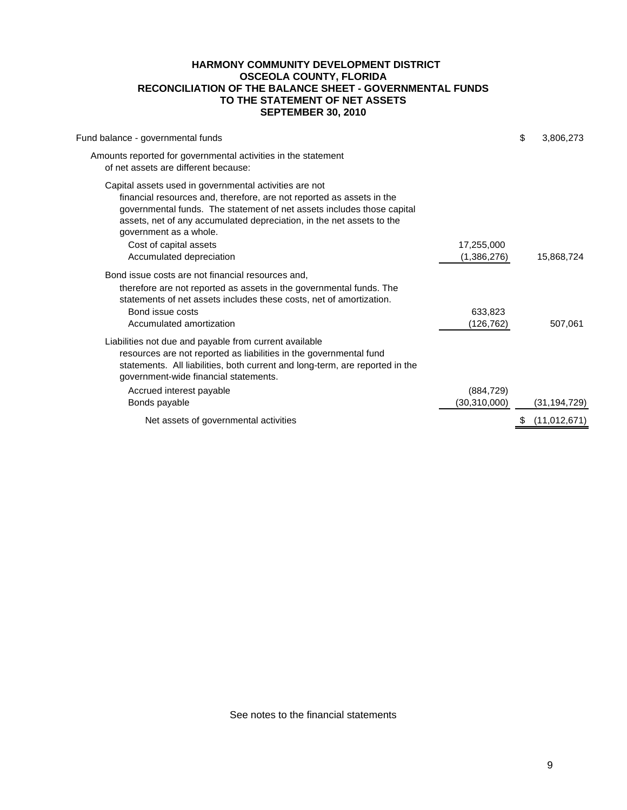#### **HARMONY COMMUNITY DEVELOPMENT DISTRICT OSCEOLA COUNTY, FLORIDA RECONCILIATION OF THE BALANCE SHEET - GOVERNMENTAL FUNDS TO THE STATEMENT OF NET ASSETS SEPTEMBER 30, 2010**

| Fund balance - governmental funds                                                                                                                                                                                                                                                                            | \$<br>3,806,273      |
|--------------------------------------------------------------------------------------------------------------------------------------------------------------------------------------------------------------------------------------------------------------------------------------------------------------|----------------------|
| Amounts reported for governmental activities in the statement<br>of net assets are different because:                                                                                                                                                                                                        |                      |
| Capital assets used in governmental activities are not<br>financial resources and, therefore, are not reported as assets in the<br>governmental funds. The statement of net assets includes those capital<br>assets, net of any accumulated depreciation, in the net assets to the<br>government as a whole. |                      |
| Cost of capital assets<br>17,255,000                                                                                                                                                                                                                                                                         |                      |
| Accumulated depreciation<br>(1,386,276)                                                                                                                                                                                                                                                                      | 15,868,724           |
| Bond issue costs are not financial resources and,<br>therefore are not reported as assets in the governmental funds. The<br>statements of net assets includes these costs, net of amortization.<br>Bond issue costs<br>633,823<br>Accumulated amortization                                                   |                      |
| (126, 762)<br>Liabilities not due and payable from current available<br>resources are not reported as liabilities in the governmental fund<br>statements. All liabilities, both current and long-term, are reported in the<br>government-wide financial statements.                                          | 507,061              |
| (884, 729)<br>Accrued interest payable                                                                                                                                                                                                                                                                       |                      |
| (30,310,000)<br>Bonds payable                                                                                                                                                                                                                                                                                | (31, 194, 729)       |
| Net assets of governmental activities                                                                                                                                                                                                                                                                        | \$<br>(11, 012, 671) |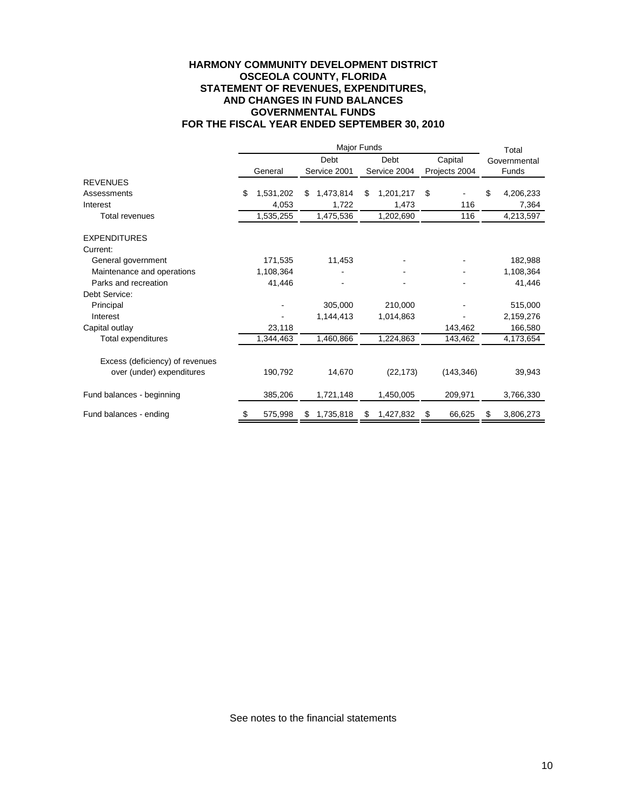#### **HARMONY COMMUNITY DEVELOPMENT DISTRICT OSCEOLA COUNTY, FLORIDA STATEMENT OF REVENUES, EXPENDITURES, AND CHANGES IN FUND BALANCES GOVERNMENTAL FUNDS FOR THE FISCAL YEAR ENDED SEPTEMBER 30, 2010**

|                                 | Major Funds |           |      |              |      |              |         | Total         |              |           |
|---------------------------------|-------------|-----------|------|--------------|------|--------------|---------|---------------|--------------|-----------|
|                                 |             |           | Debt |              | Debt |              | Capital |               | Governmental |           |
|                                 |             | General   |      | Service 2001 |      | Service 2004 |         | Projects 2004 |              | Funds     |
| <b>REVENUES</b>                 |             |           |      |              |      |              |         |               |              |           |
| Assessments                     | \$          | 1,531,202 | S    | 1,473,814    | \$   | 1,201,217    | \$      |               | \$           | 4,206,233 |
| Interest                        |             | 4,053     |      | 1,722        |      | 1,473        |         | 116           |              | 7,364     |
| <b>Total revenues</b>           |             | 1,535,255 |      | 1,475,536    |      | 1,202,690    |         | 116           |              | 4,213,597 |
| <b>EXPENDITURES</b>             |             |           |      |              |      |              |         |               |              |           |
| Current:                        |             |           |      |              |      |              |         |               |              |           |
| General government              |             | 171,535   |      | 11,453       |      |              |         |               |              | 182,988   |
| Maintenance and operations      |             | 1,108,364 |      |              |      |              |         |               |              | 1,108,364 |
| Parks and recreation            |             | 41,446    |      |              |      |              |         |               |              | 41,446    |
| Debt Service:                   |             |           |      |              |      |              |         |               |              |           |
| Principal                       |             |           |      | 305,000      |      | 210,000      |         |               |              | 515,000   |
| Interest                        |             |           |      | 1.144.413    |      | 1,014,863    |         |               |              | 2,159,276 |
| Capital outlay                  |             | 23,118    |      |              |      |              |         | 143,462       |              | 166,580   |
| Total expenditures              |             | 1,344,463 |      | 1,460,866    |      | 1,224,863    |         | 143,462       |              | 4,173,654 |
| Excess (deficiency) of revenues |             |           |      |              |      |              |         |               |              |           |
| over (under) expenditures       |             | 190,792   |      | 14,670       |      | (22, 173)    |         | (143, 346)    |              | 39,943    |
| Fund balances - beginning       |             | 385,206   |      | 1,721,148    |      | 1,450,005    |         | 209,971       |              | 3,766,330 |
| Fund balances - ending          | \$          | 575,998   | S    | 1,735,818    | \$   | 1,427,832    | \$      | 66,625        | S            | 3,806,273 |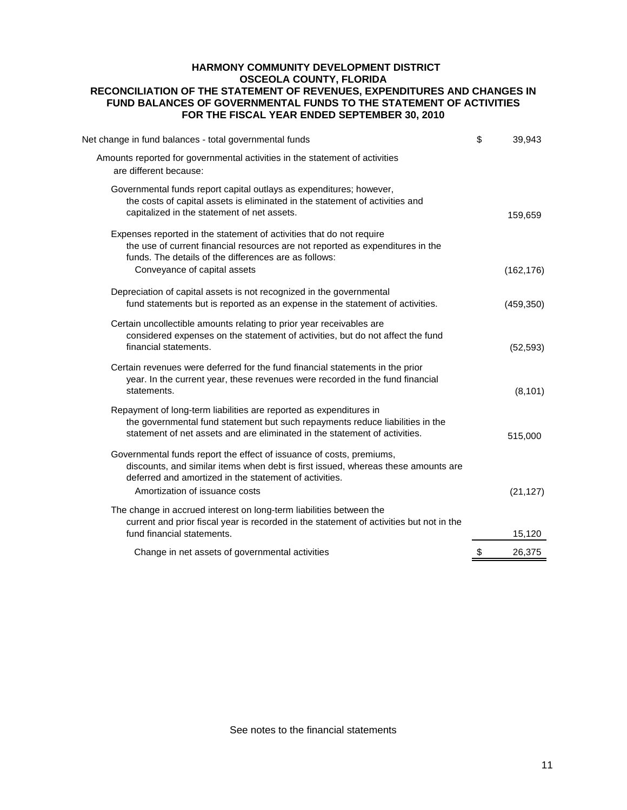### **HARMONY COMMUNITY DEVELOPMENT DISTRICT OSCEOLA COUNTY, FLORIDA RECONCILIATION OF THE STATEMENT OF REVENUES, EXPENDITURES AND CHANGES IN FUND BALANCES OF GOVERNMENTAL FUNDS TO THE STATEMENT OF ACTIVITIES FOR THE FISCAL YEAR ENDED SEPTEMBER 30, 2010**

| Net change in fund balances - total governmental funds                                                                                                                                                                                                | \$<br>39,943 |
|-------------------------------------------------------------------------------------------------------------------------------------------------------------------------------------------------------------------------------------------------------|--------------|
| Amounts reported for governmental activities in the statement of activities<br>are different because:                                                                                                                                                 |              |
| Governmental funds report capital outlays as expenditures; however,<br>the costs of capital assets is eliminated in the statement of activities and<br>capitalized in the statement of net assets.                                                    | 159,659      |
| Expenses reported in the statement of activities that do not require<br>the use of current financial resources are not reported as expenditures in the<br>funds. The details of the differences are as follows:                                       |              |
| Conveyance of capital assets                                                                                                                                                                                                                          | (162, 176)   |
| Depreciation of capital assets is not recognized in the governmental<br>fund statements but is reported as an expense in the statement of activities.                                                                                                 | (459, 350)   |
| Certain uncollectible amounts relating to prior year receivables are<br>considered expenses on the statement of activities, but do not affect the fund<br>financial statements.                                                                       | (52, 593)    |
| Certain revenues were deferred for the fund financial statements in the prior<br>year. In the current year, these revenues were recorded in the fund financial<br>statements.                                                                         | (8, 101)     |
| Repayment of long-term liabilities are reported as expenditures in<br>the governmental fund statement but such repayments reduce liabilities in the<br>statement of net assets and are eliminated in the statement of activities.                     | 515,000      |
| Governmental funds report the effect of issuance of costs, premiums,<br>discounts, and similar items when debt is first issued, whereas these amounts are<br>deferred and amortized in the statement of activities.<br>Amortization of issuance costs | (21, 127)    |
| The change in accrued interest on long-term liabilities between the<br>current and prior fiscal year is recorded in the statement of activities but not in the<br>fund financial statements.                                                          | 15,120       |
| Change in net assets of governmental activities                                                                                                                                                                                                       | \$<br>26,375 |
|                                                                                                                                                                                                                                                       |              |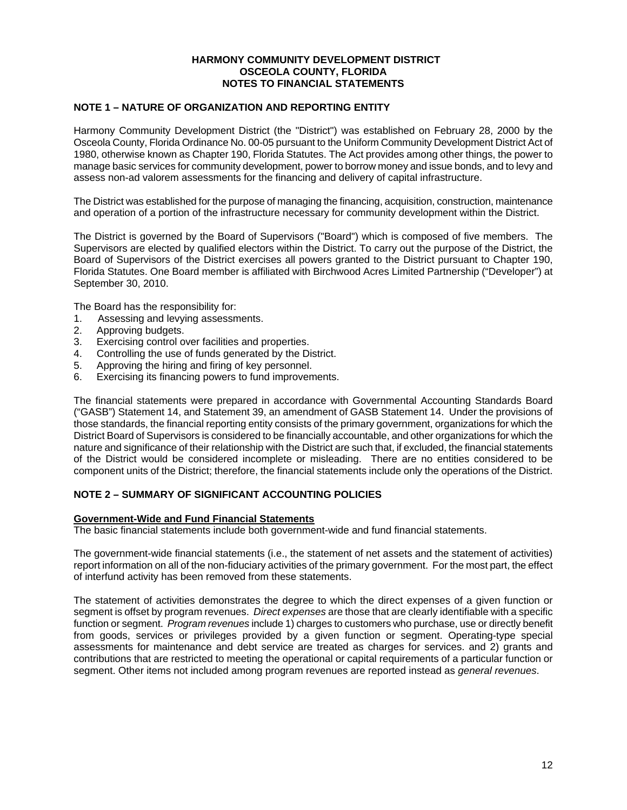#### **HARMONY COMMUNITY DEVELOPMENT DISTRICT OSCEOLA COUNTY, FLORIDA NOTES TO FINANCIAL STATEMENTS**

### **NOTE 1 – NATURE OF ORGANIZATION AND REPORTING ENTITY**

Harmony Community Development District (the "District") was established on February 28, 2000 by the Osceola County, Florida Ordinance No. 00-05 pursuant to the Uniform Community Development District Act of 1980, otherwise known as Chapter 190, Florida Statutes. The Act provides among other things, the power to manage basic services for community development, power to borrow money and issue bonds, and to levy and assess non-ad valorem assessments for the financing and delivery of capital infrastructure.

The District was established for the purpose of managing the financing, acquisition, construction, maintenance and operation of a portion of the infrastructure necessary for community development within the District.

The District is governed by the Board of Supervisors ("Board") which is composed of five members. The Supervisors are elected by qualified electors within the District. To carry out the purpose of the District, the Board of Supervisors of the District exercises all powers granted to the District pursuant to Chapter 190, Florida Statutes. One Board member is affiliated with Birchwood Acres Limited Partnership ("Developer") at September 30, 2010.

The Board has the responsibility for:

- 1. Assessing and levying assessments.
- 2. Approving budgets.
- 3. Exercising control over facilities and properties.
- 4. Controlling the use of funds generated by the District.
- 5. Approving the hiring and firing of key personnel.
- 6. Exercising its financing powers to fund improvements.

The financial statements were prepared in accordance with Governmental Accounting Standards Board ("GASB") Statement 14, and Statement 39, an amendment of GASB Statement 14. Under the provisions of those standards, the financial reporting entity consists of the primary government, organizations for which the District Board of Supervisors is considered to be financially accountable, and other organizations for which the nature and significance of their relationship with the District are such that, if excluded, the financial statements of the District would be considered incomplete or misleading. There are no entities considered to be component units of the District; therefore, the financial statements include only the operations of the District.

#### **NOTE 2 – SUMMARY OF SIGNIFICANT ACCOUNTING POLICIES**

#### **Government-Wide and Fund Financial Statements**

The basic financial statements include both government-wide and fund financial statements.

The government-wide financial statements (i.e., the statement of net assets and the statement of activities) report information on all of the non-fiduciary activities of the primary government. For the most part, the effect of interfund activity has been removed from these statements.

The statement of activities demonstrates the degree to which the direct expenses of a given function or segment is offset by program revenues. *Direct expenses* are those that are clearly identifiable with a specific function or segment. *Program revenues* include 1) charges to customers who purchase, use or directly benefit from goods, services or privileges provided by a given function or segment. Operating-type special assessments for maintenance and debt service are treated as charges for services. and 2) grants and contributions that are restricted to meeting the operational or capital requirements of a particular function or segment. Other items not included among program revenues are reported instead as *general revenues*.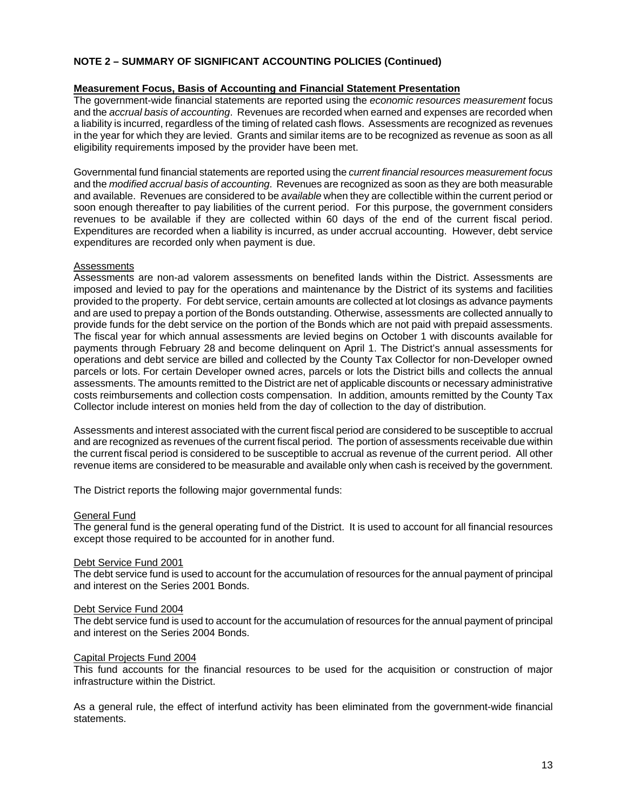## **NOTE 2 – SUMMARY OF SIGNIFICANT ACCOUNTING POLICIES (Continued)**

### **Measurement Focus, Basis of Accounting and Financial Statement Presentation**

The government-wide financial statements are reported using the *economic resources measurement* focus and the *accrual basis of accounting*. Revenues are recorded when earned and expenses are recorded when a liability is incurred, regardless of the timing of related cash flows. Assessments are recognized as revenues in the year for which they are levied. Grants and similar items are to be recognized as revenue as soon as all eligibility requirements imposed by the provider have been met.

Governmental fund financial statements are reported using the *current financial resources measurement focus* and the *modified accrual basis of accounting*. Revenues are recognized as soon as they are both measurable and available. Revenues are considered to be *available* when they are collectible within the current period or soon enough thereafter to pay liabilities of the current period. For this purpose, the government considers revenues to be available if they are collected within 60 days of the end of the current fiscal period. Expenditures are recorded when a liability is incurred, as under accrual accounting. However, debt service expenditures are recorded only when payment is due.

#### Assessments

Assessments are non-ad valorem assessments on benefited lands within the District. Assessments are imposed and levied to pay for the operations and maintenance by the District of its systems and facilities provided to the property. For debt service, certain amounts are collected at lot closings as advance payments and are used to prepay a portion of the Bonds outstanding. Otherwise, assessments are collected annually to provide funds for the debt service on the portion of the Bonds which are not paid with prepaid assessments. The fiscal year for which annual assessments are levied begins on October 1 with discounts available for payments through February 28 and become delinquent on April 1. The District's annual assessments for operations and debt service are billed and collected by the County Tax Collector for non-Developer owned parcels or lots. For certain Developer owned acres, parcels or lots the District bills and collects the annual assessments. The amounts remitted to the District are net of applicable discounts or necessary administrative costs reimbursements and collection costs compensation. In addition, amounts remitted by the County Tax Collector include interest on monies held from the day of collection to the day of distribution.

Assessments and interest associated with the current fiscal period are considered to be susceptible to accrual and are recognized as revenues of the current fiscal period. The portion of assessments receivable due within the current fiscal period is considered to be susceptible to accrual as revenue of the current period. All other revenue items are considered to be measurable and available only when cash is received by the government.

The District reports the following major governmental funds:

#### General Fund

The general fund is the general operating fund of the District. It is used to account for all financial resources except those required to be accounted for in another fund.

#### Debt Service Fund 2001

The debt service fund is used to account for the accumulation of resources for the annual payment of principal and interest on the Series 2001 Bonds.

#### Debt Service Fund 2004

The debt service fund is used to account for the accumulation of resources for the annual payment of principal and interest on the Series 2004 Bonds.

#### Capital Projects Fund 2004

This fund accounts for the financial resources to be used for the acquisition or construction of major infrastructure within the District.

As a general rule, the effect of interfund activity has been eliminated from the government-wide financial statements.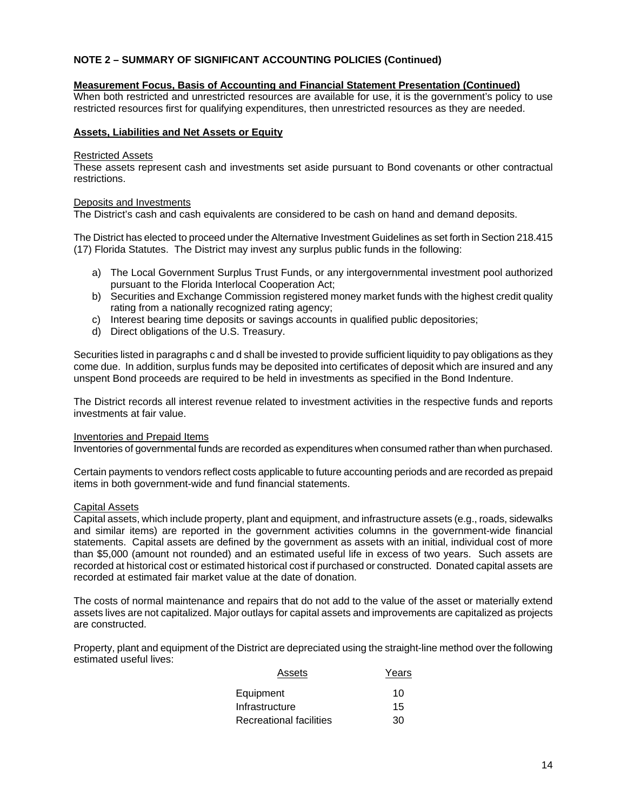## **NOTE 2 – SUMMARY OF SIGNIFICANT ACCOUNTING POLICIES (Continued)**

#### **Measurement Focus, Basis of Accounting and Financial Statement Presentation (Continued)**

When both restricted and unrestricted resources are available for use, it is the government's policy to use restricted resources first for qualifying expenditures, then unrestricted resources as they are needed.

### **Assets, Liabilities and Net Assets or Equity**

#### Restricted Assets

These assets represent cash and investments set aside pursuant to Bond covenants or other contractual restrictions.

#### Deposits and Investments

The District's cash and cash equivalents are considered to be cash on hand and demand deposits.

The District has elected to proceed under the Alternative Investment Guidelines as set forth in Section 218.415 (17) Florida Statutes. The District may invest any surplus public funds in the following:

- a) The Local Government Surplus Trust Funds, or any intergovernmental investment pool authorized pursuant to the Florida Interlocal Cooperation Act;
- b) Securities and Exchange Commission registered money market funds with the highest credit quality rating from a nationally recognized rating agency;
- c) Interest bearing time deposits or savings accounts in qualified public depositories;
- d) Direct obligations of the U.S. Treasury.

Securities listed in paragraphs c and d shall be invested to provide sufficient liquidity to pay obligations as they come due. In addition, surplus funds may be deposited into certificates of deposit which are insured and any unspent Bond proceeds are required to be held in investments as specified in the Bond Indenture.

The District records all interest revenue related to investment activities in the respective funds and reports investments at fair value.

#### Inventories and Prepaid Items

Inventories of governmental funds are recorded as expenditures when consumed rather than when purchased.

Certain payments to vendors reflect costs applicable to future accounting periods and are recorded as prepaid items in both government-wide and fund financial statements.

#### Capital Assets

Capital assets, which include property, plant and equipment, and infrastructure assets (e.g., roads, sidewalks and similar items) are reported in the government activities columns in the government-wide financial statements. Capital assets are defined by the government as assets with an initial, individual cost of more than \$5,000 (amount not rounded) and an estimated useful life in excess of two years. Such assets are recorded at historical cost or estimated historical cost if purchased or constructed. Donated capital assets are recorded at estimated fair market value at the date of donation.

The costs of normal maintenance and repairs that do not add to the value of the asset or materially extend assets lives are not capitalized. Major outlays for capital assets and improvements are capitalized as projects are constructed.

Property, plant and equipment of the District are depreciated using the straight-line method over the following estimated useful lives:

| Assets                  | Years |
|-------------------------|-------|
| Equipment               | 10    |
| Infrastructure          | 15    |
| Recreational facilities | 30    |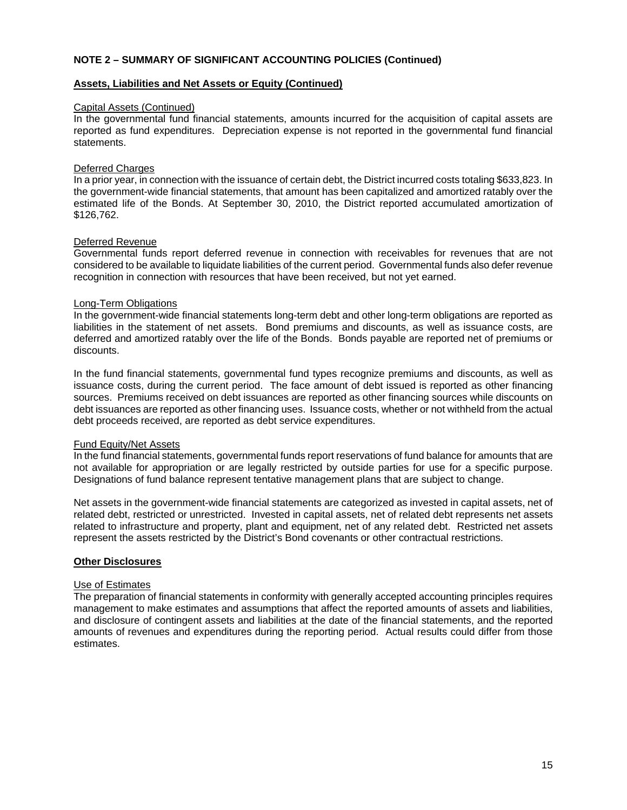### **NOTE 2 – SUMMARY OF SIGNIFICANT ACCOUNTING POLICIES (Continued)**

#### **Assets, Liabilities and Net Assets or Equity (Continued)**

#### Capital Assets (Continued)

In the governmental fund financial statements, amounts incurred for the acquisition of capital assets are reported as fund expenditures. Depreciation expense is not reported in the governmental fund financial statements.

#### Deferred Charges

In a prior year, in connection with the issuance of certain debt, the District incurred costs totaling \$633,823. In the government-wide financial statements, that amount has been capitalized and amortized ratably over the estimated life of the Bonds. At September 30, 2010, the District reported accumulated amortization of \$126,762.

#### Deferred Revenue

Governmental funds report deferred revenue in connection with receivables for revenues that are not considered to be available to liquidate liabilities of the current period. Governmental funds also defer revenue recognition in connection with resources that have been received, but not yet earned.

#### Long-Term Obligations

In the government-wide financial statements long-term debt and other long-term obligations are reported as liabilities in the statement of net assets. Bond premiums and discounts, as well as issuance costs, are deferred and amortized ratably over the life of the Bonds. Bonds payable are reported net of premiums or discounts.

In the fund financial statements, governmental fund types recognize premiums and discounts, as well as issuance costs, during the current period. The face amount of debt issued is reported as other financing sources. Premiums received on debt issuances are reported as other financing sources while discounts on debt issuances are reported as other financing uses. Issuance costs, whether or not withheld from the actual debt proceeds received, are reported as debt service expenditures.

#### Fund Equity/Net Assets

In the fund financial statements, governmental funds report reservations of fund balance for amounts that are not available for appropriation or are legally restricted by outside parties for use for a specific purpose. Designations of fund balance represent tentative management plans that are subject to change.

Net assets in the government-wide financial statements are categorized as invested in capital assets, net of related debt, restricted or unrestricted. Invested in capital assets, net of related debt represents net assets related to infrastructure and property, plant and equipment, net of any related debt. Restricted net assets represent the assets restricted by the District's Bond covenants or other contractual restrictions.

### **Other Disclosures**

#### Use of Estimates

The preparation of financial statements in conformity with generally accepted accounting principles requires management to make estimates and assumptions that affect the reported amounts of assets and liabilities, and disclosure of contingent assets and liabilities at the date of the financial statements, and the reported amounts of revenues and expenditures during the reporting period. Actual results could differ from those estimates.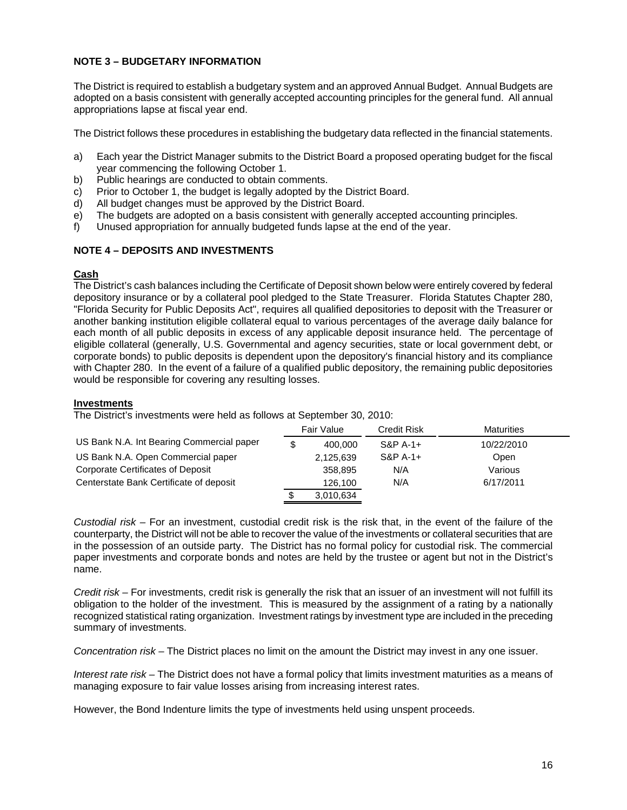## **NOTE 3 – BUDGETARY INFORMATION**

The District is required to establish a budgetary system and an approved Annual Budget. Annual Budgets are adopted on a basis consistent with generally accepted accounting principles for the general fund. All annual appropriations lapse at fiscal year end.

The District follows these procedures in establishing the budgetary data reflected in the financial statements.

- a) Each year the District Manager submits to the District Board a proposed operating budget for the fiscal year commencing the following October 1.
- b) Public hearings are conducted to obtain comments.
- c) Prior to October 1, the budget is legally adopted by the District Board.
- d) All budget changes must be approved by the District Board.
- e) The budgets are adopted on a basis consistent with generally accepted accounting principles.
- f) Unused appropriation for annually budgeted funds lapse at the end of the year.

## **NOTE 4 – DEPOSITS AND INVESTMENTS**

### **Cash**

The District's cash balances including the Certificate of Deposit shown below were entirely covered by federal depository insurance or by a collateral pool pledged to the State Treasurer. Florida Statutes Chapter 280, "Florida Security for Public Deposits Act", requires all qualified depositories to deposit with the Treasurer or another banking institution eligible collateral equal to various percentages of the average daily balance for each month of all public deposits in excess of any applicable deposit insurance held. The percentage of eligible collateral (generally, U.S. Governmental and agency securities, state or local government debt, or corporate bonds) to public deposits is dependent upon the depository's financial history and its compliance with Chapter 280. In the event of a failure of a qualified public depository, the remaining public depositories would be responsible for covering any resulting losses.

#### **Investments**

The District's investments were held as follows at September 30, 2010:

|                                           |    | Fair Value | Credit Risk | <b>Maturities</b> |
|-------------------------------------------|----|------------|-------------|-------------------|
| US Bank N.A. Int Bearing Commercial paper |    | 400.000    | S&P A-1+    | 10/22/2010        |
| US Bank N.A. Open Commercial paper        |    | 2,125,639  | S&P A-1+    | Open              |
| Corporate Certificates of Deposit         |    | 358.895    | N/A         | Various           |
| Centerstate Bank Certificate of deposit   |    | 126,100    | N/A         | 6/17/2011         |
|                                           | ۰D | 3,010,634  |             |                   |

*Custodial risk –* For an investment, custodial credit risk is the risk that, in the event of the failure of the counterparty, the District will not be able to recover the value of the investments or collateral securities that are in the possession of an outside party. The District has no formal policy for custodial risk. The commercial paper investments and corporate bonds and notes are held by the trustee or agent but not in the District's name.

*Credit risk –* For investments, credit risk is generally the risk that an issuer of an investment will not fulfill its obligation to the holder of the investment. This is measured by the assignment of a rating by a nationally recognized statistical rating organization. Investment ratings by investment type are included in the preceding summary of investments.

*Concentration risk –* The District places no limit on the amount the District may invest in any one issuer.

*Interest rate risk –* The District does not have a formal policy that limits investment maturities as a means of managing exposure to fair value losses arising from increasing interest rates.

However, the Bond Indenture limits the type of investments held using unspent proceeds.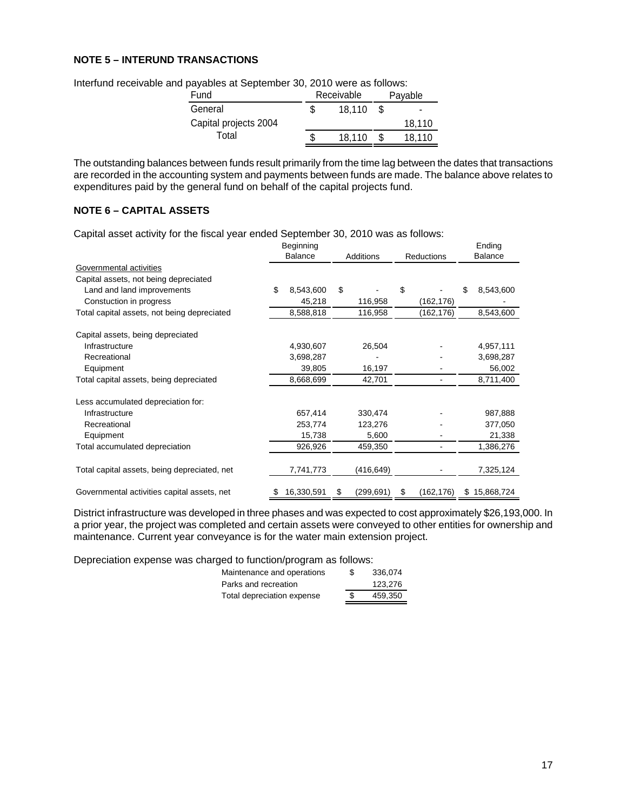#### **NOTE 5 – INTERUND TRANSACTIONS**

Interfund receivable and payables at September 30, 2010 were as follows:

| Fund                  |   | Receivable | Payable |
|-----------------------|---|------------|---------|
| General               | S | 18.110     |         |
| Capital projects 2004 |   |            | 18,110  |
| Total                 | S | 18.110     | 18.110  |

The outstanding balances between funds result primarily from the time lag between the dates that transactions are recorded in the accounting system and payments between funds are made. The balance above relates to expenditures paid by the general fund on behalf of the capital projects fund.

## **NOTE 6 – CAPITAL ASSETS**

Capital asset activity for the fiscal year ended September 30, 2010 was as follows:

|                                              | Beginning |            |    |            | Ending |                   |    |            |  |
|----------------------------------------------|-----------|------------|----|------------|--------|-------------------|----|------------|--|
|                                              | Balance   |            |    | Additions  |        | <b>Reductions</b> |    | Balance    |  |
| Governmental activities                      |           |            |    |            |        |                   |    |            |  |
| Capital assets, not being depreciated        |           |            |    |            |        |                   |    |            |  |
| Land and land improvements                   | \$        | 8,543,600  | \$ |            | S      |                   | \$ | 8,543,600  |  |
| Constuction in progress                      |           | 45,218     |    | 116,958    |        | (162, 176)        |    |            |  |
| Total capital assets, not being depreciated  |           | 8,588,818  |    | 116,958    |        | (162,176)         |    | 8,543,600  |  |
| Capital assets, being depreciated            |           |            |    |            |        |                   |    |            |  |
| Infrastructure                               |           | 4,930,607  |    | 26,504     |        |                   |    | 4,957,111  |  |
| Recreational                                 |           | 3,698,287  |    |            |        |                   |    | 3,698,287  |  |
| Equipment                                    |           | 39,805     |    | 16,197     |        |                   |    | 56,002     |  |
| Total capital assets, being depreciated      |           | 8,668,699  |    | 42,701     |        | ۰                 |    | 8,711,400  |  |
| Less accumulated depreciation for:           |           |            |    |            |        |                   |    |            |  |
| Infrastructure                               |           | 657,414    |    | 330,474    |        |                   |    | 987,888    |  |
| Recreational                                 |           | 253,774    |    | 123,276    |        |                   |    | 377,050    |  |
| Equipment                                    |           | 15,738     |    | 5,600      |        |                   |    | 21,338     |  |
| Total accumulated depreciation               |           | 926,926    |    | 459,350    |        |                   |    | 1,386,276  |  |
| Total capital assets, being depreciated, net |           | 7,741,773  |    | (416, 649) |        |                   |    | 7,325,124  |  |
| Governmental activities capital assets, net  |           | 16,330,591 | \$ | (299, 691) | S      | (162, 176)        | S. | 15,868,724 |  |

District infrastructure was developed in three phases and was expected to cost approximately \$26,193,000. In a prior year, the project was completed and certain assets were conveyed to other entities for ownership and maintenance. Current year conveyance is for the water main extension project.

Depreciation expense was charged to function/program as follows:

| Maintenance and operations | \$. | 336.074 |
|----------------------------|-----|---------|
| Parks and recreation       |     | 123.276 |
| Total depreciation expense | \$. | 459.350 |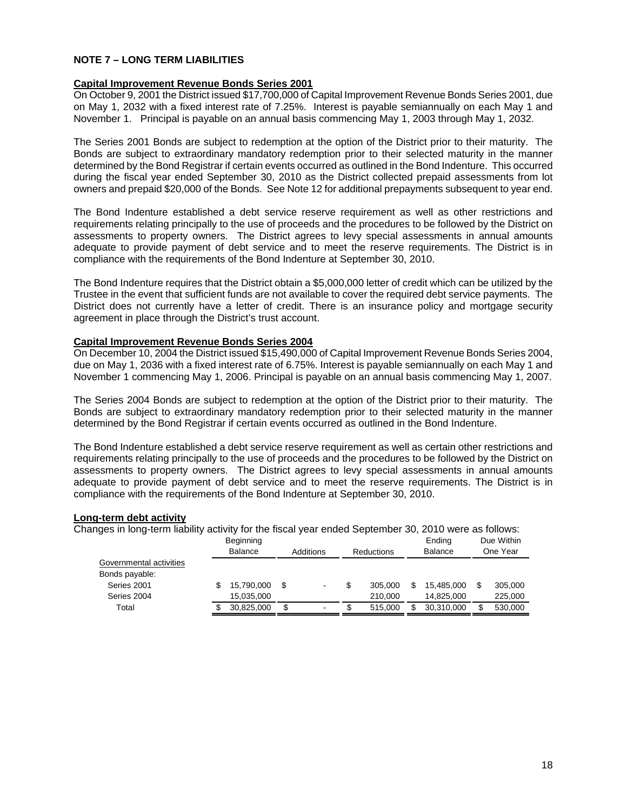### **NOTE 7 – LONG TERM LIABILITIES**

#### **Capital Improvement Revenue Bonds Series 2001**

On October 9, 2001 the District issued \$17,700,000 of Capital Improvement Revenue Bonds Series 2001, due on May 1, 2032 with a fixed interest rate of 7.25%. Interest is payable semiannually on each May 1 and November 1. Principal is payable on an annual basis commencing May 1, 2003 through May 1, 2032.

The Series 2001 Bonds are subject to redemption at the option of the District prior to their maturity. The Bonds are subject to extraordinary mandatory redemption prior to their selected maturity in the manner determined by the Bond Registrar if certain events occurred as outlined in the Bond Indenture. This occurred during the fiscal year ended September 30, 2010 as the District collected prepaid assessments from lot owners and prepaid \$20,000 of the Bonds. See Note 12 for additional prepayments subsequent to year end.

The Bond Indenture established a debt service reserve requirement as well as other restrictions and requirements relating principally to the use of proceeds and the procedures to be followed by the District on assessments to property owners. The District agrees to levy special assessments in annual amounts adequate to provide payment of debt service and to meet the reserve requirements. The District is in compliance with the requirements of the Bond Indenture at September 30, 2010.

The Bond Indenture requires that the District obtain a \$5,000,000 letter of credit which can be utilized by the Trustee in the event that sufficient funds are not available to cover the required debt service payments. The District does not currently have a letter of credit. There is an insurance policy and mortgage security agreement in place through the District's trust account.

#### **Capital Improvement Revenue Bonds Series 2004**

On December 10, 2004 the District issued \$15,490,000 of Capital Improvement Revenue Bonds Series 2004, due on May 1, 2036 with a fixed interest rate of 6.75%. Interest is payable semiannually on each May 1 and November 1 commencing May 1, 2006. Principal is payable on an annual basis commencing May 1, 2007.

The Series 2004 Bonds are subject to redemption at the option of the District prior to their maturity. The Bonds are subject to extraordinary mandatory redemption prior to their selected maturity in the manner determined by the Bond Registrar if certain events occurred as outlined in the Bond Indenture.

The Bond Indenture established a debt service reserve requirement as well as certain other restrictions and requirements relating principally to the use of proceeds and the procedures to be followed by the District on assessments to property owners. The District agrees to levy special assessments in annual amounts adequate to provide payment of debt service and to meet the reserve requirements. The District is in compliance with the requirements of the Bond Indenture at September 30, 2010.

#### **Long-term debt activity**

Changes in long-term liability activity for the fiscal year ended September 30, 2010 were as follows:

|                         | Beginning<br><b>Balance</b> |   | Additions | Reductions |         | Ending<br><b>Balance</b> |            | Due Within<br>One Year |         |
|-------------------------|-----------------------------|---|-----------|------------|---------|--------------------------|------------|------------------------|---------|
| Governmental activities |                             |   |           |            |         |                          |            |                        |         |
| Bonds payable:          |                             |   |           |            |         |                          |            |                        |         |
| Series 2001             | 15,790,000                  | S | -         |            | 305,000 |                          | 15.485.000 | \$                     | 305,000 |
| Series 2004             | 15,035,000                  |   |           |            | 210,000 |                          | 14.825.000 |                        | 225,000 |
| Total                   | 30,825,000                  | S |           | ۰D         | 515,000 |                          | 30.310.000 |                        | 530,000 |
|                         |                             |   |           |            |         |                          |            |                        |         |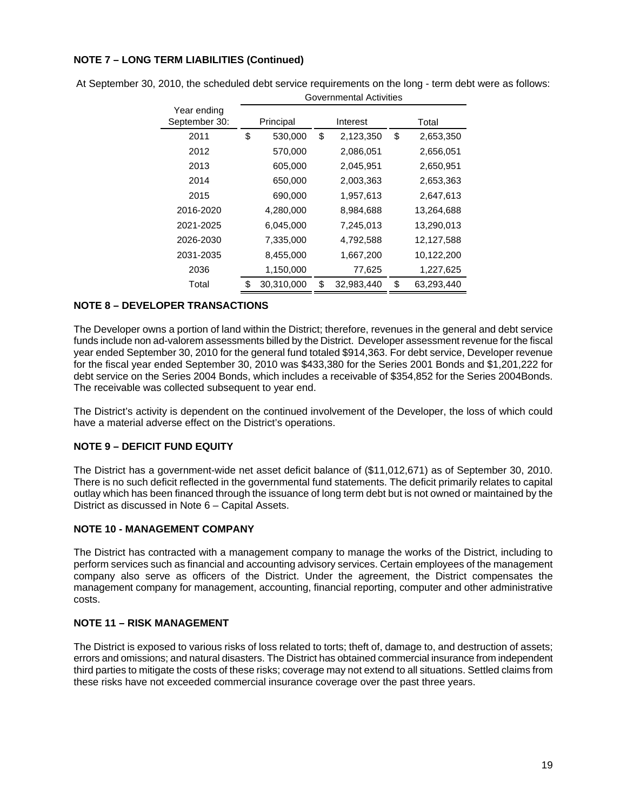## **NOTE 7 – LONG TERM LIABILITIES (Continued)**

|                              | Governmental Activities |            |    |            |       |            |  |
|------------------------------|-------------------------|------------|----|------------|-------|------------|--|
| Year ending<br>September 30: |                         | Principal  |    | Interest   | Total |            |  |
| 2011                         | \$                      | 530,000    | \$ | 2,123,350  | \$    | 2,653,350  |  |
| 2012                         |                         | 570,000    |    | 2,086,051  |       | 2,656,051  |  |
| 2013                         |                         | 605,000    |    | 2,045,951  |       | 2,650,951  |  |
| 2014                         |                         | 650,000    |    | 2,003,363  |       | 2,653,363  |  |
| 2015                         |                         | 690,000    |    | 1,957,613  |       | 2,647,613  |  |
| 2016-2020                    |                         | 4,280,000  |    | 8,984,688  |       | 13,264,688 |  |
| 2021-2025                    |                         | 6,045,000  |    | 7,245,013  |       | 13,290,013 |  |
| 2026-2030                    |                         | 7,335,000  |    | 4,792,588  |       | 12,127,588 |  |
| 2031-2035                    |                         | 8,455,000  |    | 1,667,200  |       | 10,122,200 |  |
| 2036                         |                         | 1,150,000  |    | 77,625     |       | 1,227,625  |  |
| Total                        |                         | 30,310,000 |    | 32,983,440 | \$.   | 63,293,440 |  |

At September 30, 2010, the scheduled debt service requirements on the long - term debt were as follows:

 $\sigma$  and  $\sigma$  and  $\sigma$ 

### **NOTE 8 – DEVELOPER TRANSACTIONS**

The Developer owns a portion of land within the District; therefore, revenues in the general and debt service funds include non ad-valorem assessments billed by the District. Developer assessment revenue for the fiscal year ended September 30, 2010 for the general fund totaled \$914,363. For debt service, Developer revenue for the fiscal year ended September 30, 2010 was \$433,380 for the Series 2001 Bonds and \$1,201,222 for debt service on the Series 2004 Bonds, which includes a receivable of \$354,852 for the Series 2004Bonds. The receivable was collected subsequent to year end.

The District's activity is dependent on the continued involvement of the Developer, the loss of which could have a material adverse effect on the District's operations.

## **NOTE 9 – DEFICIT FUND EQUITY**

The District has a government-wide net asset deficit balance of (\$11,012,671) as of September 30, 2010. There is no such deficit reflected in the governmental fund statements. The deficit primarily relates to capital outlay which has been financed through the issuance of long term debt but is not owned or maintained by the District as discussed in Note 6 – Capital Assets.

#### **NOTE 10 - MANAGEMENT COMPANY**

The District has contracted with a management company to manage the works of the District, including to perform services such as financial and accounting advisory services. Certain employees of the management company also serve as officers of the District. Under the agreement, the District compensates the management company for management, accounting, financial reporting, computer and other administrative costs.

#### **NOTE 11 – RISK MANAGEMENT**

The District is exposed to various risks of loss related to torts; theft of, damage to, and destruction of assets; errors and omissions; and natural disasters. The District has obtained commercial insurance from independent third parties to mitigate the costs of these risks; coverage may not extend to all situations. Settled claims from these risks have not exceeded commercial insurance coverage over the past three years.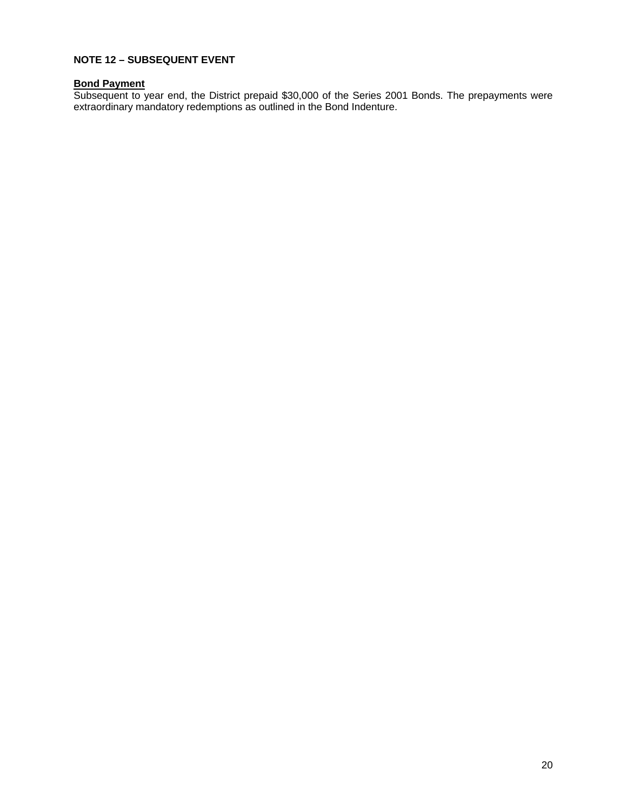# **NOTE 12 – SUBSEQUENT EVENT**

#### **Bond Payment**

Subsequent to year end, the District prepaid \$30,000 of the Series 2001 Bonds. The prepayments were extraordinary mandatory redemptions as outlined in the Bond Indenture.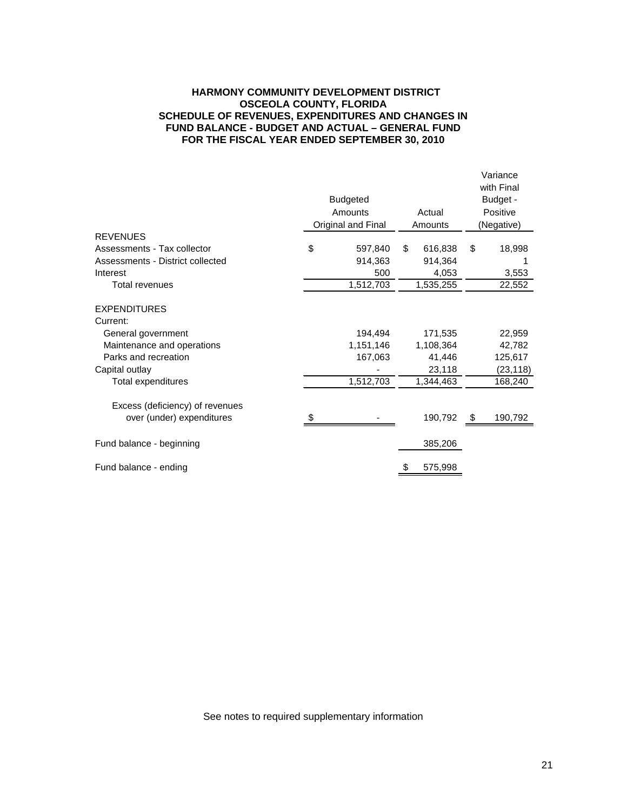### **HARMONY COMMUNITY DEVELOPMENT DISTRICT OSCEOLA COUNTY, FLORIDA SCHEDULE OF REVENUES, EXPENDITURES AND CHANGES IN FUND BALANCE - BUDGET AND ACTUAL – GENERAL FUND FOR THE FISCAL YEAR ENDED SEPTEMBER 30, 2010**

|                                  |                 |                               |    |           |    | Variance<br>with Final |  |  |
|----------------------------------|-----------------|-------------------------------|----|-----------|----|------------------------|--|--|
|                                  | <b>Budgeted</b> | Budget -                      |    |           |    |                        |  |  |
|                                  | Amounts         |                               |    | Actual    |    | Positive<br>(Negative) |  |  |
|                                  |                 | Original and Final<br>Amounts |    |           |    |                        |  |  |
| <b>REVENUES</b>                  |                 |                               |    |           |    |                        |  |  |
| Assessments - Tax collector      | \$              | 597,840                       | \$ | 616,838   | \$ | 18,998                 |  |  |
| Assessments - District collected |                 | 914,363                       |    | 914,364   |    |                        |  |  |
| Interest                         |                 | 500                           |    | 4,053     |    | 3,553                  |  |  |
| <b>Total revenues</b>            |                 | 1,512,703                     |    | 1,535,255 |    | 22,552                 |  |  |
| <b>EXPENDITURES</b>              |                 |                               |    |           |    |                        |  |  |
| Current:                         |                 |                               |    |           |    |                        |  |  |
| General government               |                 | 194.494                       |    | 171,535   |    | 22,959                 |  |  |
| Maintenance and operations       |                 | 1,151,146                     |    | 1,108,364 |    | 42,782                 |  |  |
| Parks and recreation             |                 | 167,063                       |    | 41,446    |    | 125,617                |  |  |
| Capital outlay                   |                 |                               |    | 23,118    |    | (23, 118)              |  |  |
| Total expenditures               |                 | 1,512,703                     |    | 1,344,463 |    | 168,240                |  |  |
| Excess (deficiency) of revenues  |                 |                               |    |           |    |                        |  |  |
| over (under) expenditures        |                 |                               |    | 190,792   | \$ | 190,792                |  |  |
|                                  |                 |                               |    |           |    |                        |  |  |
| Fund balance - beginning         |                 |                               |    | 385,206   |    |                        |  |  |
| Fund balance - ending            |                 |                               | \$ | 575,998   |    |                        |  |  |
|                                  |                 |                               |    |           |    |                        |  |  |

See notes to required supplementary information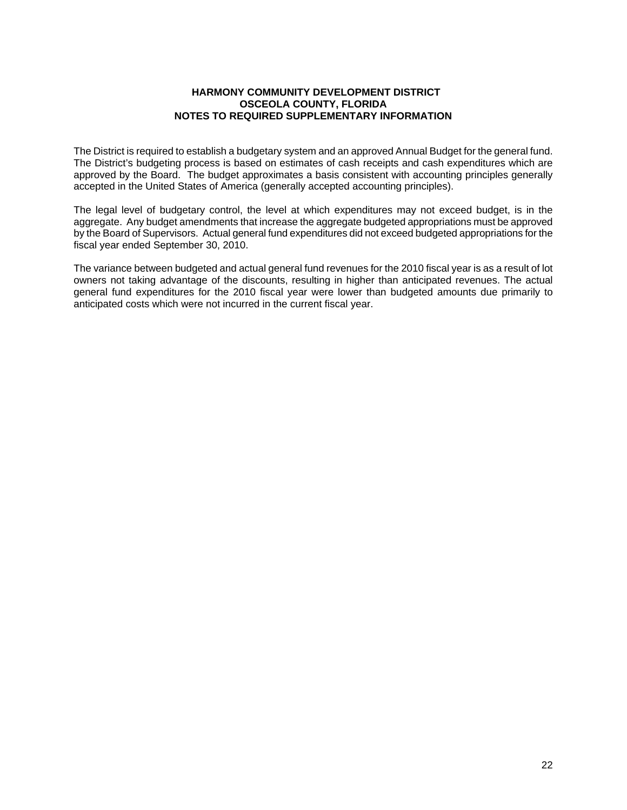### **HARMONY COMMUNITY DEVELOPMENT DISTRICT OSCEOLA COUNTY, FLORIDA NOTES TO REQUIRED SUPPLEMENTARY INFORMATION**

The District is required to establish a budgetary system and an approved Annual Budget for the general fund. The District's budgeting process is based on estimates of cash receipts and cash expenditures which are approved by the Board. The budget approximates a basis consistent with accounting principles generally accepted in the United States of America (generally accepted accounting principles).

The legal level of budgetary control, the level at which expenditures may not exceed budget, is in the aggregate. Any budget amendments that increase the aggregate budgeted appropriations must be approved by the Board of Supervisors. Actual general fund expenditures did not exceed budgeted appropriations for the fiscal year ended September 30, 2010.

The variance between budgeted and actual general fund revenues for the 2010 fiscal year is as a result of lot owners not taking advantage of the discounts, resulting in higher than anticipated revenues. The actual general fund expenditures for the 2010 fiscal year were lower than budgeted amounts due primarily to anticipated costs which were not incurred in the current fiscal year.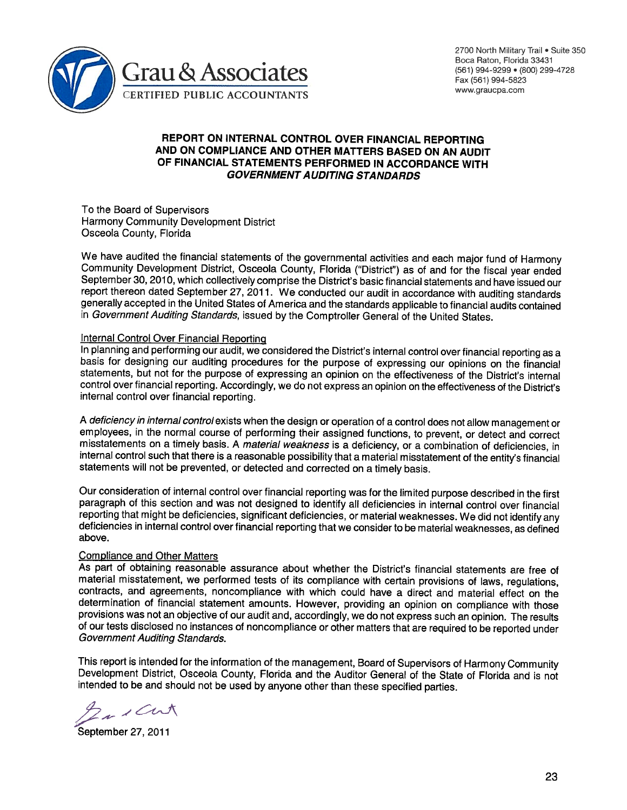

2700 North Military Trail . Suite 350 Boca Raton, Florida 33431 (561) 994-9299 • (800) 299-4728 Fax (561) 994-5823 www.graucpa.com

## REPORT ON INTERNAL CONTROL OVER FINANCIAL REPORTING AND ON COMPLIANCE AND OTHER MATTERS BASED ON AN AUDIT OF FINANCIAL STATEMENTS PERFORMED IN ACCORDANCE WITH **GOVERNMENT AUDITING STANDARDS**

To the Board of Supervisors **Harmony Community Development District** Osceola County, Florida

We have audited the financial statements of the governmental activities and each major fund of Harmony Community Development District, Osceola County, Florida ("District") as of and for the fiscal year ended September 30, 2010, which collectively comprise the District's basic financial statements and have issued our report thereon dated September 27, 2011. We conducted our audit in accordance with auditing standards generally accepted in the United States of America and the standards applicable to financial audits contained in Government Auditing Standards, issued by the Comptroller General of the United States.

#### **Internal Control Over Financial Reporting**

In planning and performing our audit, we considered the District's internal control over financial reporting as a basis for designing our auditing procedures for the purpose of expressing our opinions on the financial statements, but not for the purpose of expressing an opinion on the effectiveness of the District's internal control over financial reporting. Accordingly, we do not express an opinion on the effectiveness of the District's internal control over financial reporting.

A deficiency in internal control exists when the design or operation of a control does not allow management or employees, in the normal course of performing their assigned functions, to prevent, or detect and correct misstatements on a timely basis. A material weakness is a deficiency, or a combination of deficiencies, in internal control such that there is a reasonable possibility that a material misstatement of the entity's financial statements will not be prevented, or detected and corrected on a timely basis.

Our consideration of internal control over financial reporting was for the limited purpose described in the first paragraph of this section and was not designed to identify all deficiencies in internal control over financial reporting that might be deficiencies, significant deficiencies, or material weaknesses. We did not identify any deficiencies in internal control over financial reporting that we consider to be material weaknesses, as defined above.

## **Compliance and Other Matters**

As part of obtaining reasonable assurance about whether the District's financial statements are free of material misstatement, we performed tests of its compliance with certain provisions of laws, regulations, contracts, and agreements, noncompliance with which could have a direct and material effect on the determination of financial statement amounts. However, providing an opinion on compliance with those provisions was not an objective of our audit and, accordingly, we do not express such an opinion. The results of our tests disclosed no instances of noncompliance or other matters that are required to be reported under **Government Auditing Standards.** 

This report is intended for the information of the management, Board of Supervisors of Harmony Community Development District, Osceola County, Florida and the Auditor General of the State of Florida and is not intended to be and should not be used by anyone other than these specified parties.

er 1 Cut

September 27, 2011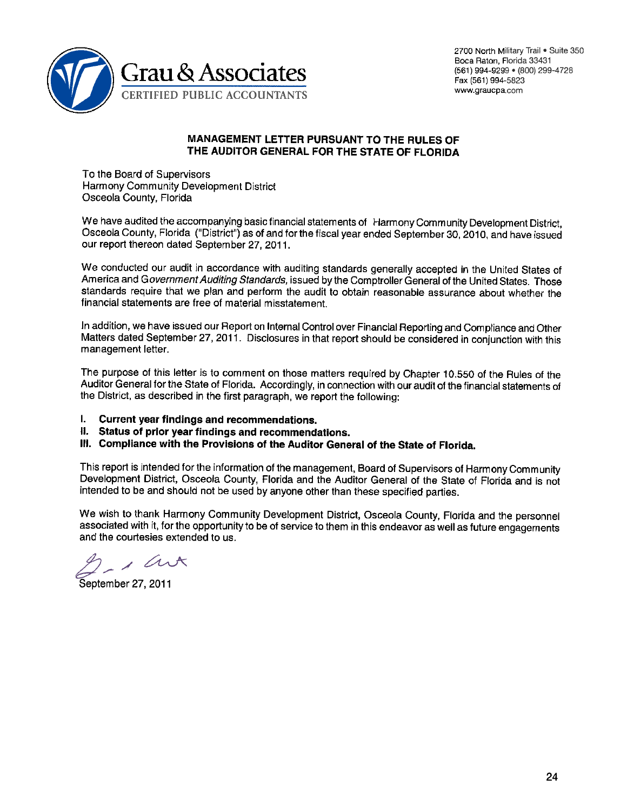

2700 North Military Trail . Suite 350 Boca Raton, Florida 33431 (561) 994-9299 • (800) 299-4728 Fax (561) 994-5823 www.graucpa.com

### MANAGEMENT LETTER PURSUANT TO THE RULES OF THE AUDITOR GENERAL FOR THE STATE OF FLORIDA

To the Board of Supervisors Harmony Community Development District Osceola County, Florida

We have audited the accompanying basic financial statements of Harmony Community Development District. Osceola County, Florida ("District") as of and for the fiscal year ended September 30, 2010, and have issued our report thereon dated September 27, 2011.

We conducted our audit in accordance with auditing standards generally accepted in the United States of America and Government Auditing Standards, issued by the Comptroller General of the United States. Those standards require that we plan and perform the audit to obtain reasonable assurance about whether the financial statements are free of material misstatement.

In addition, we have issued our Report on Internal Control over Financial Reporting and Compliance and Other Matters dated September 27, 2011. Disclosures in that report should be considered in conjunction with this management letter.

The purpose of this letter is to comment on those matters required by Chapter 10.550 of the Rules of the Auditor General for the State of Florida. Accordingly, in connection with our audit of the financial statements of the District, as described in the first paragraph, we report the following:

- L. Current year findings and recommendations.
- II. Status of prior year findings and recommendations.
- III. Compliance with the Provisions of the Auditor General of the State of Florida.

This report is intended for the information of the management, Board of Supervisors of Harmony Community Development District, Osceola County, Florida and the Auditor General of the State of Florida and is not intended to be and should not be used by anyone other than these specified parties.

We wish to thank Harmony Community Development District, Osceola County, Florida and the personnel associated with it, for the opportunity to be of service to them in this endeavor as well as future engagements and the courtesies extended to us.

, ark

September 27, 2011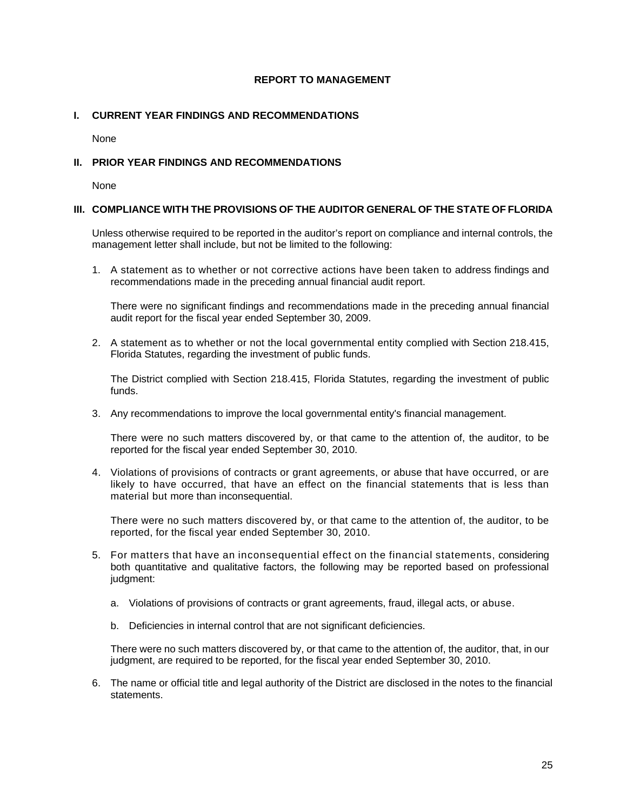### **REPORT TO MANAGEMENT**

## **I. CURRENT YEAR FINDINGS AND RECOMMENDATIONS**

None

### **II. PRIOR YEAR FINDINGS AND RECOMMENDATIONS**

None

#### **III. COMPLIANCE WITH THE PROVISIONS OF THE AUDITOR GENERAL OF THE STATE OF FLORIDA**

Unless otherwise required to be reported in the auditor's report on compliance and internal controls, the management letter shall include, but not be limited to the following:

1. A statement as to whether or not corrective actions have been taken to address findings and recommendations made in the preceding annual financial audit report.

There were no significant findings and recommendations made in the preceding annual financial audit report for the fiscal year ended September 30, 2009.

2. A statement as to whether or not the local governmental entity complied with Section 218.415, Florida Statutes, regarding the investment of public funds.

The District complied with Section 218.415, Florida Statutes, regarding the investment of public funds.

3. Any recommendations to improve the local governmental entity's financial management.

There were no such matters discovered by, or that came to the attention of, the auditor, to be reported for the fiscal year ended September 30, 2010.

4. Violations of provisions of contracts or grant agreements, or abuse that have occurred, or are likely to have occurred, that have an effect on the financial statements that is less than material but more than inconsequential.

There were no such matters discovered by, or that came to the attention of, the auditor, to be reported, for the fiscal year ended September 30, 2010.

- 5. For matters that have an inconsequential effect on the financial statements, considering both quantitative and qualitative factors, the following may be reported based on professional judgment:
	- a. Violations of provisions of contracts or grant agreements, fraud, illegal acts, or abuse.
	- b. Deficiencies in internal control that are not significant deficiencies.

There were no such matters discovered by, or that came to the attention of, the auditor, that, in our judgment, are required to be reported, for the fiscal year ended September 30, 2010.

6. The name or official title and legal authority of the District are disclosed in the notes to the financial statements.